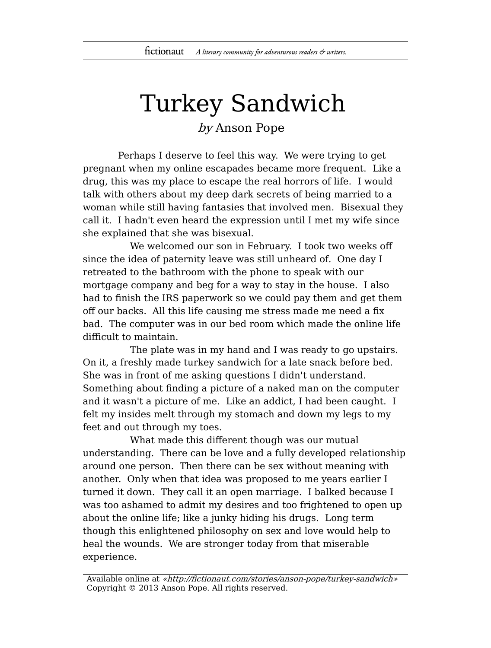## Turkey Sandwich

by Anson Pope

Perhaps I deserve to feel this way. We were trying to get pregnant when my online escapades became more frequent. Like a drug, this was my place to escape the real horrors of life. I would talk with others about my deep dark secrets of being married to a woman while still having fantasies that involved men. Bisexual they call it. I hadn't even heard the expression until I met my wife since she explained that she was bisexual.

We welcomed our son in February. I took two weeks off since the idea of paternity leave was still unheard of. One day I retreated to the bathroom with the phone to speak with our mortgage company and beg for a way to stay in the house. I also had to finish the IRS paperwork so we could pay them and get them off our backs. All this life causing me stress made me need a fix bad. The computer was in our bed room which made the online life difficult to maintain.

The plate was in my hand and I was ready to go upstairs. On it, a freshly made turkey sandwich for a late snack before bed. She was in front of me asking questions I didn't understand. Something about finding a picture of a naked man on the computer and it wasn't a picture of me. Like an addict, I had been caught. I felt my insides melt through my stomach and down my legs to my feet and out through my toes.

What made this different though was our mutual understanding. There can be love and a fully developed relationship around one person. Then there can be sex without meaning with another. Only when that idea was proposed to me years earlier I turned it down. They call it an open marriage. I balked because I was too ashamed to admit my desires and too frightened to open up about the online life; like a junky hiding his drugs. Long term though this enlightened philosophy on sex and love would help to heal the wounds. We are stronger today from that miserable experience.

Available online at «http://fictionaut.com/stories/anson-pope/turkey-sandwich» Copyright © 2013 Anson Pope. All rights reserved.